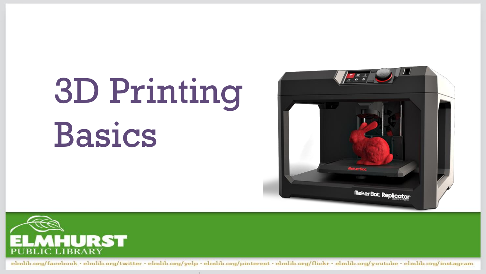# 3D Printing Basics



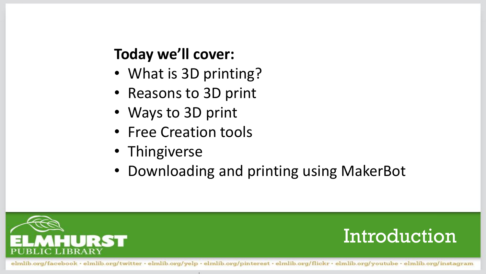#### **Today we'll cover:**

- What is 3D printing?
- Reasons to 3D print
- Ways to 3D print
- Free Creation tools
- Thingiverse
- Downloading and printing using MakerBot



#### Introduction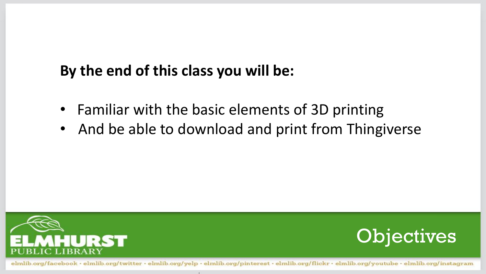#### **By the end of this class you will be:**

- Familiar with the basic elements of 3D printing
- And be able to download and print from Thingiverse



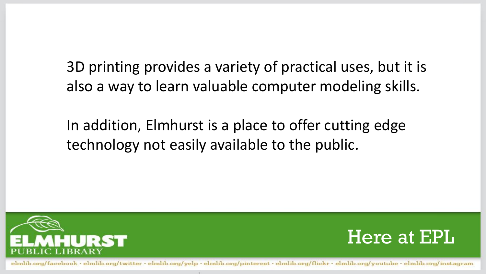3D printing provides a variety of practical uses, but it is also a way to learn valuable computer modeling skills.

In addition, Elmhurst is a place to offer cutting edge technology not easily available to the public.



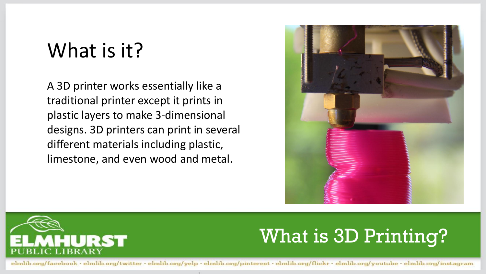#### What is it?

A 3D printer works essentially like a traditional printer except it prints in plastic layers to make 3-dimensional designs. 3D printers can print in several different materials including plastic, limestone, and even wood and metal.





#### What is 3D Printing?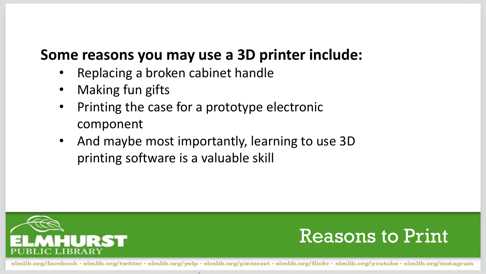#### **Some reasons you may use a 3D printer include:**

- Replacing a broken cabinet handle
- Making fun gifts
- Printing the case for a prototype electronic component
- And maybe most importantly, learning to use 3D printing software is a valuable skill



![](_page_5_Picture_6.jpeg)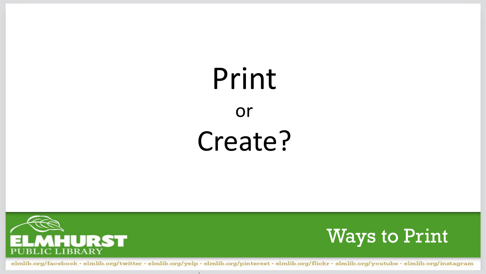## Print or Create?

![](_page_6_Picture_1.jpeg)

![](_page_6_Picture_2.jpeg)

elmlib.org/facebook · elmlib.org/twitter · elmlib.org/yelp · elmlib.org/pinterest · elmlib.org/flickr · elmlib.org/youtube · elmlib.org/instagram

**CONTRACTOR**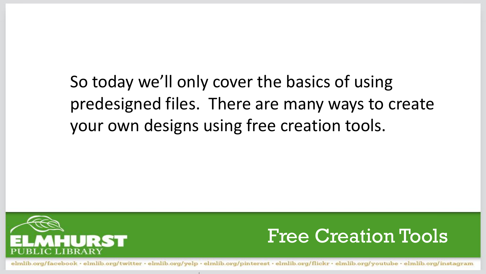#### So today we'll only cover the basics of using predesigned files. There are many ways to create your own designs using free creation tools.

![](_page_7_Picture_1.jpeg)

![](_page_7_Picture_2.jpeg)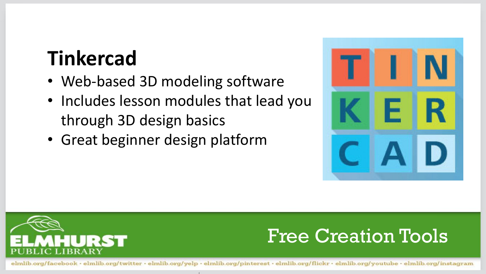### **Tinkercad**

- Web-based 3D modeling software
- Includes lesson modules that lead you through 3D design basics
- Great beginner design platform

![](_page_8_Picture_4.jpeg)

![](_page_8_Picture_5.jpeg)

#### Free Creation Tools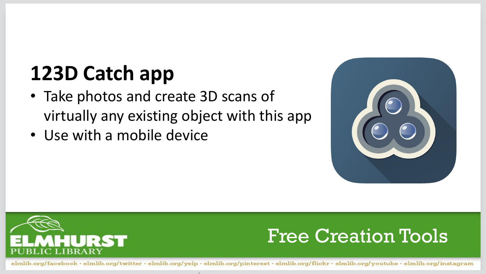### **123D Catch app**

- Take photos and create 3D scans of virtually any existing object with this app
- Use with a mobile device

![](_page_9_Picture_3.jpeg)

![](_page_9_Picture_4.jpeg)

#### Free Creation Tools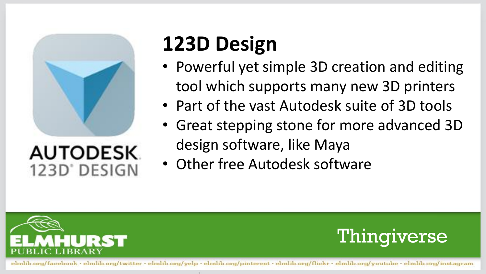![](_page_10_Picture_0.jpeg)

#### **AUTODESK** 123D' DESIGN

### **123D Design**

- Powerful yet simple 3D creation and editing tool which supports many new 3D printers
- Part of the vast Autodesk suite of 3D tools
- Great stepping stone for more advanced 3D design software, like Maya
- Other free Autodesk software

![](_page_10_Picture_7.jpeg)

![](_page_10_Picture_8.jpeg)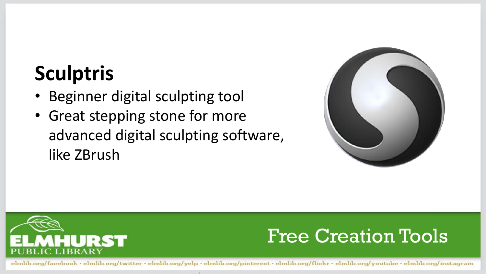### **Sculptris**

- Beginner digital sculpting tool
- Great stepping stone for more advanced digital sculpting software, like ZBrush

![](_page_11_Picture_3.jpeg)

![](_page_11_Picture_4.jpeg)

#### Free Creation Tools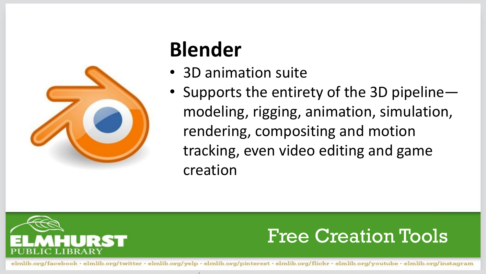![](_page_12_Picture_0.jpeg)

### **Blender**

- 3D animation suite
- Supports the entirety of the 3D pipeline modeling, rigging, animation, simulation, rendering, compositing and motion tracking, even video editing and game creation

![](_page_12_Picture_4.jpeg)

#### Free Creation Tools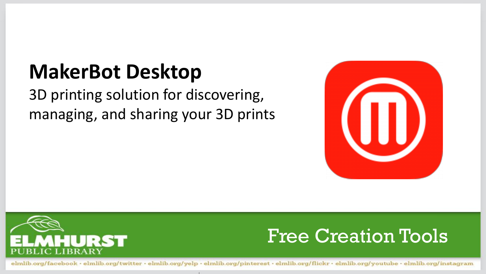### **MakerBot Desktop**

3D printing solution for discovering, managing, and sharing your 3D prints

![](_page_13_Picture_2.jpeg)

![](_page_13_Picture_3.jpeg)

#### Free Creation Tools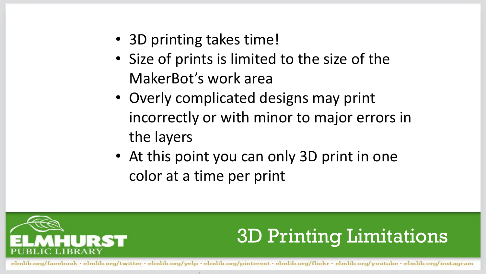- 3D printing takes time!
- Size of prints is limited to the size of the MakerBot's work area
- Overly complicated designs may print incorrectly or with minor to major errors in the layers
- At this point you can only 3D print in one color at a time per print

![](_page_14_Picture_4.jpeg)

#### 3D Printing Limitations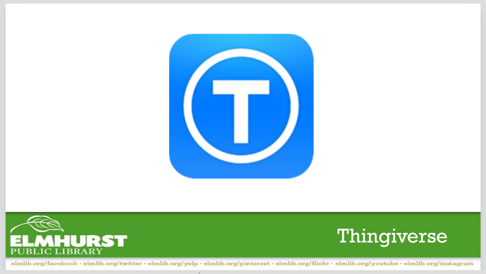![](_page_15_Picture_0.jpeg)

![](_page_15_Picture_1.jpeg)

![](_page_15_Picture_2.jpeg)

elmlib.org/facebook · elmlib.org/twitter · elmlib.org/yelp · elmlib.org/pinterest · elmlib.org/flickr · elmlib.org/youtube · elmlib.org/instagram

**CONTRACTOR**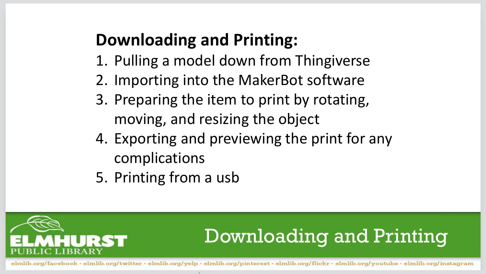#### **Downloading and Printing:**

- 1. Pulling a model down from Thingiverse
- 2. Importing into the MakerBot software
- 3. Preparing the item to print by rotating, moving, and resizing the object
- 4. Exporting and previewing the print for any complications
- 5. Printing from a usb

![](_page_16_Picture_6.jpeg)

### Downloading and Printing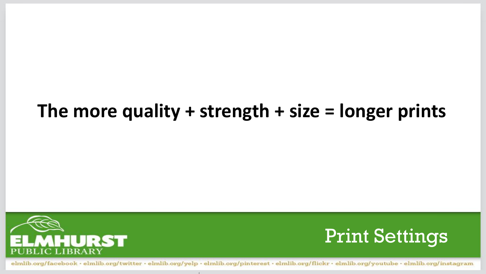#### **The more quality + strength + size = longer prints**

![](_page_17_Picture_1.jpeg)

![](_page_17_Picture_2.jpeg)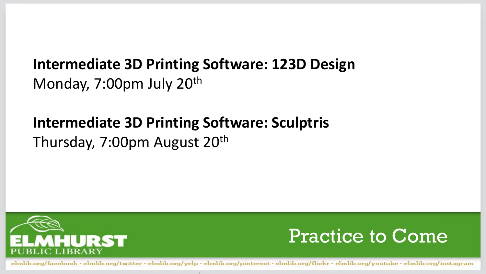#### **Intermediate 3D Printing Software: 123D Design**  Monday, 7:00pm July 20<sup>th</sup>

#### **Intermediate 3D Printing Software: Sculptris**

Thursday, 7:00pm August 20<sup>th</sup>

![](_page_18_Picture_3.jpeg)

![](_page_18_Picture_4.jpeg)